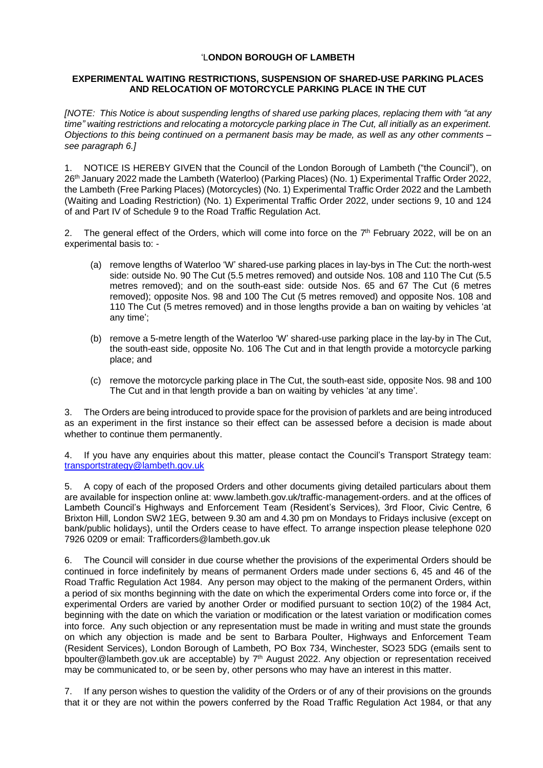## 'L**ONDON BOROUGH OF LAMBETH**

## **EXPERIMENTAL WAITING RESTRICTIONS, SUSPENSION OF SHARED-USE PARKING PLACES AND RELOCATION OF MOTORCYCLE PARKING PLACE IN THE CUT**

*[NOTE: This Notice is about suspending lengths of shared use parking places, replacing them with "at any time" waiting restrictions and relocating a motorcycle parking place in The Cut, all initially as an experiment. Objections to this being continued on a permanent basis may be made, as well as any other comments – see paragraph 6.]*

1. NOTICE IS HEREBY GIVEN that the Council of the London Borough of Lambeth ("the Council"), on 26<sup>th</sup> January 2022 made the Lambeth (Waterloo) (Parking Places) (No. 1) Experimental Traffic Order 2022, the Lambeth (Free Parking Places) (Motorcycles) (No. 1) Experimental Traffic Order 2022 and the Lambeth (Waiting and Loading Restriction) (No. 1) Experimental Traffic Order 2022, under sections 9, 10 and 124 of and Part IV of Schedule 9 to the Road Traffic Regulation Act.

2. The general effect of the Orders, which will come into force on the  $7<sup>th</sup>$  February 2022, will be on an experimental basis to: -

- (a) remove lengths of Waterloo 'W' shared-use parking places in lay-bys in The Cut: the north-west side: outside No. 90 The Cut (5.5 metres removed) and outside Nos. 108 and 110 The Cut (5.5 metres removed); and on the south-east side: outside Nos. 65 and 67 The Cut (6 metres removed); opposite Nos. 98 and 100 The Cut (5 metres removed) and opposite Nos. 108 and 110 The Cut (5 metres removed) and in those lengths provide a ban on waiting by vehicles 'at any time';
- (b) remove a 5-metre length of the Waterloo 'W' shared-use parking place in the lay-by in The Cut, the south-east side, opposite No. 106 The Cut and in that length provide a motorcycle parking place; and
- (c) remove the motorcycle parking place in The Cut, the south-east side, opposite Nos. 98 and 100 The Cut and in that length provide a ban on waiting by vehicles 'at any time'.

3. The Orders are being introduced to provide space for the provision of parklets and are being introduced as an experiment in the first instance so their effect can be assessed before a decision is made about whether to continue them permanently.

4. If you have any enquiries about this matter, please contact the Council's Transport Strategy team: [transportstrategy@lambeth.gov.uk](mailto:transportstrategy@lambeth.gov.uk)

5. A copy of each of the proposed Orders and other documents giving detailed particulars about them are available for inspection online at: www.lambeth.gov.uk/traffic-management-orders. and at the offices of Lambeth Council's Highways and Enforcement Team (Resident's Services), 3rd Floor, Civic Centre, 6 Brixton Hill, London SW2 1EG, between 9.30 am and 4.30 pm on Mondays to Fridays inclusive (except on bank/public holidays), until the Orders cease to have effect. To arrange inspection please telephone 020 7926 0209 or email: Trafficorders@lambeth.gov.uk

6. The Council will consider in due course whether the provisions of the experimental Orders should be continued in force indefinitely by means of permanent Orders made under sections 6, 45 and 46 of the Road Traffic Regulation Act 1984. Any person may object to the making of the permanent Orders, within a period of six months beginning with the date on which the experimental Orders come into force or, if the experimental Orders are varied by another Order or modified pursuant to section 10(2) of the 1984 Act, beginning with the date on which the variation or modification or the latest variation or modification comes into force. Any such objection or any representation must be made in writing and must state the grounds on which any objection is made and be sent to Barbara Poulter, Highways and Enforcement Team (Resident Services), London Borough of Lambeth, PO Box 734, Winchester, SO23 5DG (emails sent to [bpoulter@lambeth.gov.uk](mailto:bpoulter@lambeth.gov.uk) are acceptable) by 7<sup>th</sup> August 2022. Any objection or representation received may be communicated to, or be seen by, other persons who may have an interest in this matter.

7. If any person wishes to question the validity of the Orders or of any of their provisions on the grounds that it or they are not within the powers conferred by the Road Traffic Regulation Act 1984, or that any